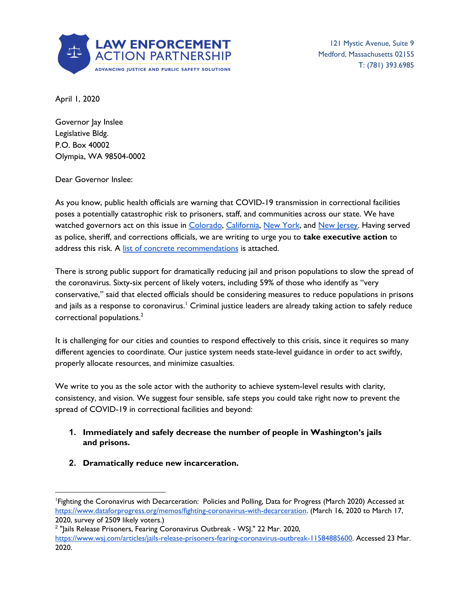

121 Mystic Avenue, Suite 9 Medford, Massachusetts 02155 T: (781) 393.6985

April 1, 2020

Governor Jay Inslee Legislative Bldg. P.O. Box 40002 Olympia, WA 98504-0002

Dear Governor Inslee:

As you know, public health officials are warning that COVID-19 transmission in correctional facilities poses a potentially catastrophic risk to prisoners, staff, and communities across our state. We have watched governors act on this issue in [Colorado,](https://www.denverpost.com/2020/03/26/polis-executive-orders-coronavirus-relief/) [California,](https://www.latimes.com/california/story/2020-03-31/coronavirus-california-release-3500-inmates-prisons) New [York](https://nypost.com/2020/03/27/cuomo-orders-1100-parole-violators-released-from-jails-over-coronavirus-concerns/), and New [Jersey](https://www.nytimes.com/2020/03/23/nyregion/coronavirus-nj-inmates-release.html). Having served as police, sheriff, and corrections officials, we are writing to urge you to **take executive action** to address this risk. A list of concrete [recommendations](https://columbialegal.org/wp-content/uploads/2020/03/Letter-to-Gov.-Inslee-re-COVID-19.pdf) is attached.

There is strong public support for dramatically reducing jail and prison populations to slow the spread of the coronavirus. Sixty-six percent of likely voters, including 59% of those who identify as "very conservative," said that elected officials should be considering measures to reduce populations in prisons and jails as a response to coronavirus.' Criminal justice leaders are already taking action to safely reduce correctional populations. 2

It is challenging for our cities and counties to respond effectively to this crisis, since it requires so many different agencies to coordinate. Our justice system needs state-level guidance in order to act swiftly, properly allocate resources, and minimize casualties.

We write to you as the sole actor with the authority to achieve system-level results with clarity, consistency, and vision. We suggest four sensible, safe steps you could take right now to prevent the spread of COVID-19 in correctional facilities and beyond:

- **1. Immediately and safely decrease the number of people in Washington's jails and prisons.**
- **2. Dramatically reduce new incarceration.**

<sup>1</sup>Fighting the Coronavirus with Decarceration: Policies and Polling, Data for Progress (March 2020) Accessed at <https://www.dataforprogress.org/memos/fighting-coronavirus-with-decarceration>. (March 16, 2020 to March 17, 2020, survey of 2509 likely voters.)

<sup>&</sup>lt;sup>2</sup> "Jails Release Prisoners, Fearing Coronavirus Outbreak - WSJ." 22 Mar. 2020, <https://www.wsj.com/articles/jails-release-prisoners-fearing-coronavirus-outbreak-11584885600>. Accessed 23 Mar. 2020.